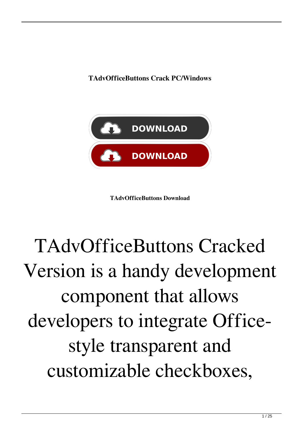**TAdvOfficeButtons Crack PC/Windows**



**TAdvOfficeButtons Download**

## TAdvOfficeButtons Cracked Version is a handy development component that allows developers to integrate Officestyle transparent and customizable checkboxes,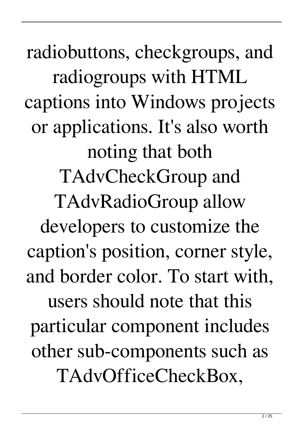radiobuttons, checkgroups, and radiogroups with HTML captions into Windows projects or applications. It's also worth noting that both TAdvCheckGroup and TAdvRadioGroup allow developers to customize the caption's position, corner style, and border color. To start with, users should note that this particular component includes other sub-components such as TAdvOfficeCheckBox,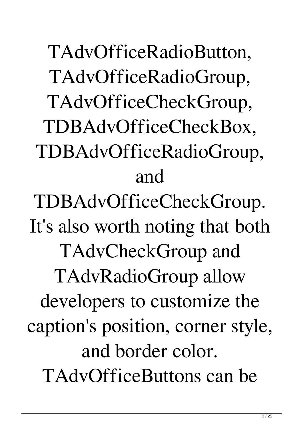TAdvOfficeRadioButton, TAdvOfficeRadioGroup, TAdvOfficeCheckGroup, TDBAdvOfficeCheckBox, TDBAdvOfficeRadioGroup, and TDBAdvOfficeCheckGroup. It's also worth noting that both TAdvCheckGroup and TAdvRadioGroup allow developers to customize the caption's position, corner style, and border color. TAdvOfficeButtons can be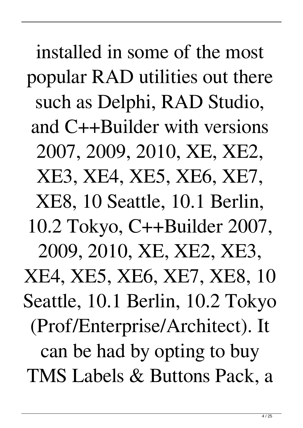installed in some of the most popular RAD utilities out there such as Delphi, RAD Studio, and C++Builder with versions 2007, 2009, 2010, XE, XE2, XE3, XE4, XE5, XE6, XE7, XE8, 10 Seattle, 10.1 Berlin, 10.2 Tokyo, C++Builder 2007, 2009, 2010, XE, XE2, XE3, XE4, XE5, XE6, XE7, XE8, 10 Seattle, 10.1 Berlin, 10.2 Tokyo (Prof/Enterprise/Architect). It can be had by opting to buy TMS Labels & Buttons Pack, a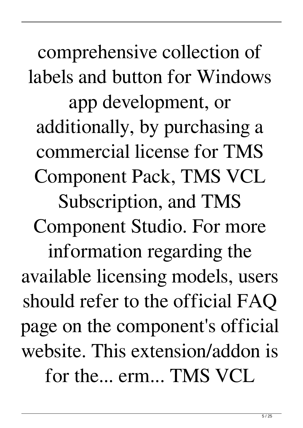comprehensive collection of labels and button for Windows app development, or additionally, by purchasing a commercial license for TMS Component Pack, TMS VCL Subscription, and TMS Component Studio. For more information regarding the available licensing models, users should refer to the official FAQ page on the component's official website. This extension/addon is for the... erm... TMS VCL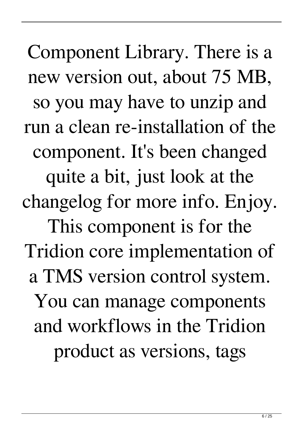Component Library. There is a new version out, about 75 MB, so you may have to unzip and run a clean re-installation of the component. It's been changed quite a bit, just look at the changelog for more info. Enjoy. This component is for the Tridion core implementation of a TMS version control system. You can manage components and workflows in the Tridion product as versions, tags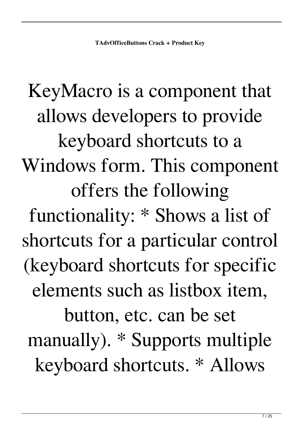KeyMacro is a component that allows developers to provide keyboard shortcuts to a Windows form. This component offers the following functionality: \* Shows a list of shortcuts for a particular control (keyboard shortcuts for specific elements such as listbox item, button, etc. can be set manually). \* Supports multiple keyboard shortcuts. \* Allows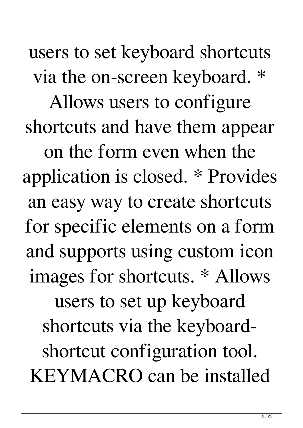users to set keyboard shortcuts via the on-screen keyboard. \* Allows users to configure shortcuts and have them appear on the form even when the application is closed. \* Provides an easy way to create shortcuts for specific elements on a form and supports using custom icon images for shortcuts. \* Allows users to set up keyboard shortcuts via the keyboardshortcut configuration tool. KEYMACRO can be installed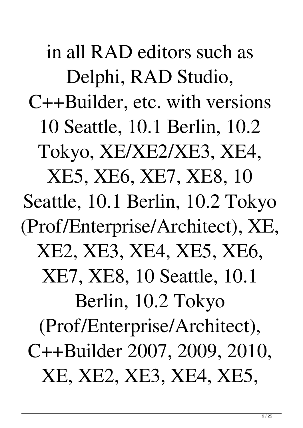in all RAD editors such as Delphi, RAD Studio, C++Builder, etc. with versions 10 Seattle, 10.1 Berlin, 10.2 Tokyo, XE/XE2/XE3, XE4, XE5, XE6, XE7, XE8, 10 Seattle, 10.1 Berlin, 10.2 Tokyo (Prof/Enterprise/Architect), XE, XE2, XE3, XE4, XE5, XE6, XE7, XE8, 10 Seattle, 10.1 Berlin, 10.2 Tokyo (Prof/Enterprise/Architect), C++Builder 2007, 2009, 2010, XE, XE2, XE3, XE4, XE5,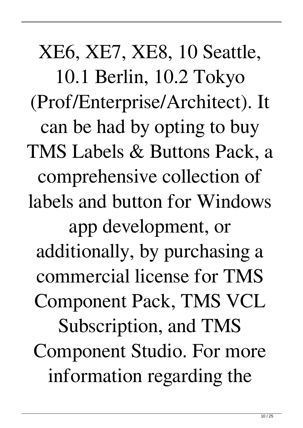XE6, XE7, XE8, 10 Seattle, 10.1 Berlin, 10.2 Tokyo (Prof/Enterprise/Architect). It can be had by opting to buy TMS Labels & Buttons Pack, a comprehensive collection of labels and button for Windows app development, or additionally, by purchasing a commercial license for TMS Component Pack, TMS VCL Subscription, and TMS Component Studio. For more information regarding the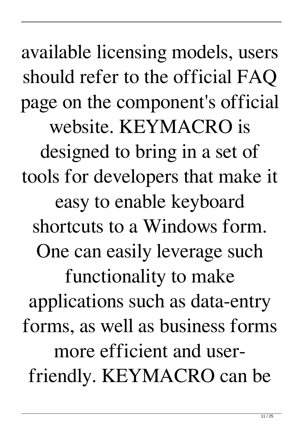available licensing models, users should refer to the official FAQ page on the component's official website. KEYMACRO is designed to bring in a set of tools for developers that make it easy to enable keyboard shortcuts to a Windows form. One can easily leverage such functionality to make applications such as data-entry forms, as well as business forms more efficient and userfriendly. KEYMACRO can be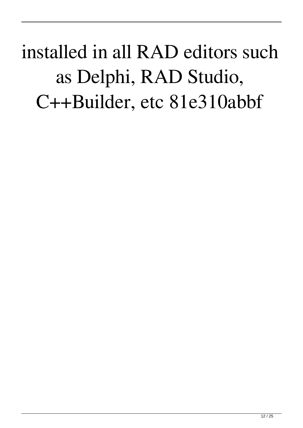installed in all RAD editors such as Delphi, RAD Studio, C++Builder, etc 81e310abbf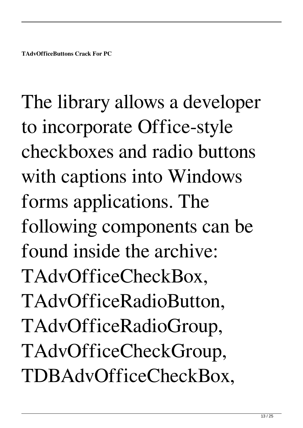The library allows a developer to incorporate Office-style checkboxes and radio buttons with captions into Windows forms applications. The following components can be found inside the archive: TAdvOfficeCheckBox, TAdvOfficeRadioButton, TAdvOfficeRadioGroup, TAdvOfficeCheckGroup, TDBAdvOfficeCheckBox,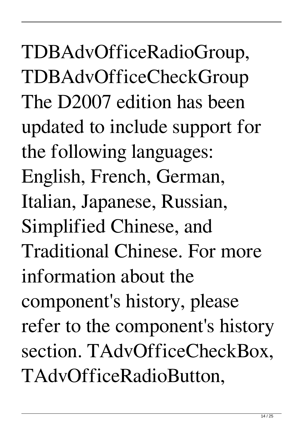TDBAdvOfficeRadioGroup, TDBAdvOfficeCheckGroup The D2007 edition has been updated to include support for the following languages: English, French, German, Italian, Japanese, Russian, Simplified Chinese, and Traditional Chinese. For more information about the component's history, please refer to the component's history section. TAdvOfficeCheckBox, TAdvOfficeRadioButton,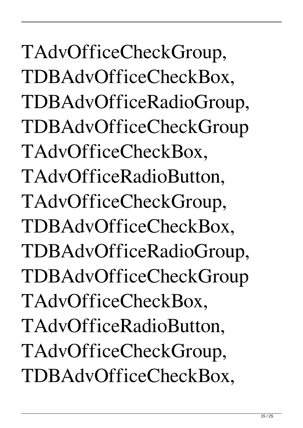TAdvOfficeCheckGroup, TDBAdvOfficeCheckBox, TDBAdvOfficeRadioGroup, TDBAdvOfficeCheckGroup TAdvOfficeCheckBox, TAdvOfficeRadioButton, TAdvOfficeCheckGroup, TDBAdvOfficeCheckBox, TDBAdvOfficeRadioGroup, TDBAdvOfficeCheckGroup TAdvOfficeCheckBox, TAdvOfficeRadioButton, TAdvOfficeCheckGroup, TDBAdvOfficeCheckBox,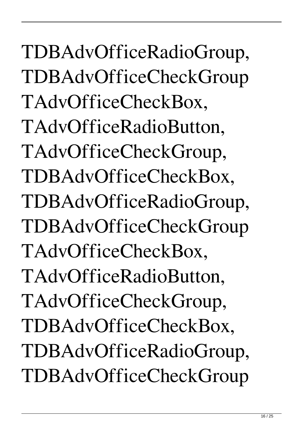TDBAdvOfficeRadioGroup, TDBAdvOfficeCheckGroup TAdvOfficeCheckBox, TAdvOfficeRadioButton, TAdvOfficeCheckGroup, TDBAdvOfficeCheckBox, TDBAdvOfficeRadioGroup, TDBAdvOfficeCheckGroup TAdvOfficeCheckBox, TAdvOfficeRadioButton, TAdvOfficeCheckGroup, TDBAdvOfficeCheckBox, TDBAdvOfficeRadioGroup, TDBAdvOfficeCheckGroup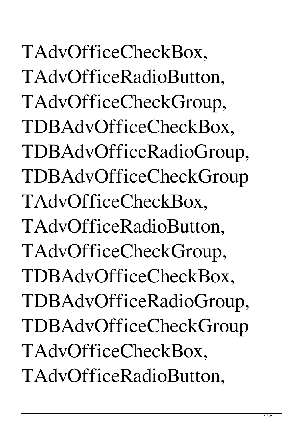TAdvOfficeCheckBox, TAdvOfficeRadioButton, TAdvOfficeCheckGroup, TDBAdvOfficeCheckBox, TDBAdvOfficeRadioGroup, TDBAdvOfficeCheckGroup TAdvOfficeCheckBox, TAdvOfficeRadioButton, TAdvOfficeCheckGroup, TDBAdvOfficeCheckBox, TDBAdvOfficeRadioGroup, TDBAdvOfficeCheckGroup TAdvOfficeCheckBox, TAdvOfficeRadioButton,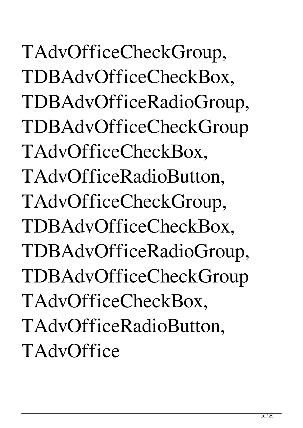TAdvOfficeCheckGroup, TDBAdvOfficeCheckBox, TDBAdvOfficeRadioGroup, TDBAdvOfficeCheckGroup TAdvOfficeCheckBox, TAdvOfficeRadioButton, TAdvOfficeCheckGroup, TDBAdvOfficeCheckBox, TDBAdvOfficeRadioGroup, TDBAdvOfficeCheckGroup TAdvOfficeCheckBox, TAdvOfficeRadioButton, **TAdvOffice**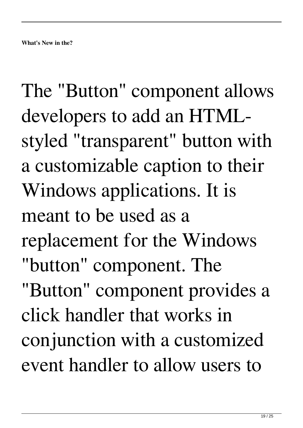The "Button" component allows developers to add an HTMLstyled "transparent" button with a customizable caption to their Windows applications. It is meant to be used as a replacement for the Windows "button" component. The "Button" component provides a click handler that works in conjunction with a customized event handler to allow users to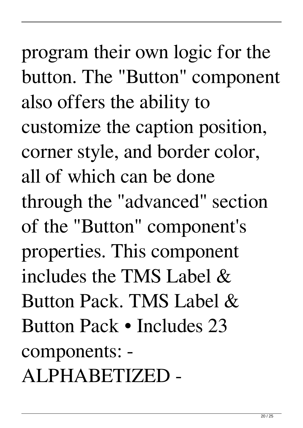program their own logic for the button. The "Button" component also offers the ability to customize the caption position, corner style, and border color, all of which can be done through the "advanced" section of the "Button" component's properties. This component includes the TMS Label & Button Pack. TMS Label & Button Pack • Includes 23 components: - ALPHABETIZED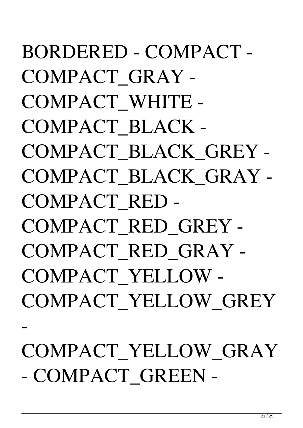BORDERED - COMPACT - COMPACT\_GRAY - COMPACT\_WHITE - COMPACT\_BLACK - COMPACT\_BLACK\_GREY - COMPACT\_BLACK\_GRAY - COMPACT\_RED - COMPACT\_RED\_GREY - COMPACT\_RED\_GRAY - COMPACT\_YELLOW - COMPACT\_YELLOW\_GREY - COMPACT\_YELLOW\_GRAY - COMPACT GREEN -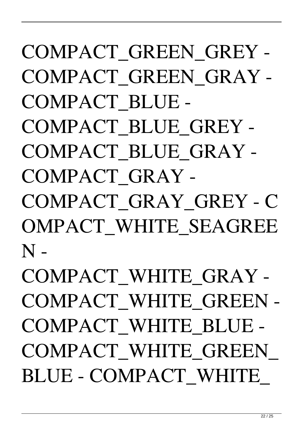## COMPACT\_GREEN\_GREY - COMPACT\_GREEN\_GRAY - COMPACT\_BLUE - COMPACT\_BLUE\_GREY - COMPACT\_BLUE\_GRAY - COMPACT\_GRAY - COMPACT\_GRAY\_GREY - C OMPACT\_WHITE\_SEAGREE  $N -$ COMPACT\_WHITE\_GRAY - COMPACT\_WHITE\_GREEN - COMPACT\_WHITE\_BLUE - COMPACT\_WHITE\_GREEN\_ BLUE - COMPACT\_WHITE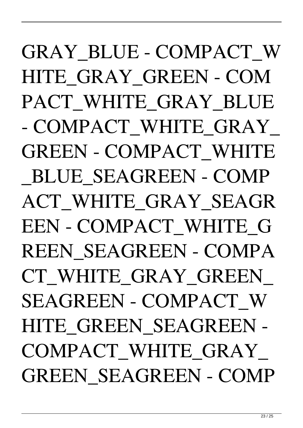GRAY\_BLUE - COMPACT\_W HITE\_GRAY\_GREEN - COM PACT WHITE GRAY BLUE - COMPACT\_WHITE\_GRAY\_ GREEN - COMPACT\_WHITE \_BLUE\_SEAGREEN - COMP ACT WHITE GRAY SEAGR EEN - COMPACT\_WHITE\_G REEN\_SEAGREEN - COMPA CT\_WHITE\_GRAY\_GREEN\_ SEAGREEN - COMPACT\_W HITE GREEN SEAGREEN -COMPACT\_WHITE\_GRAY\_ GREEN\_SEAGREEN - COMP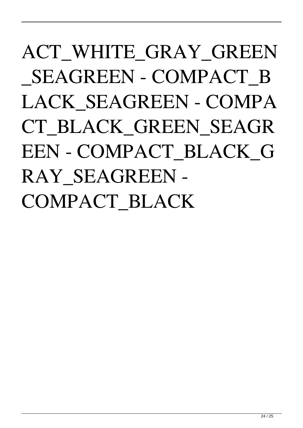## ACT WHITE GRAY GREEN \_SEAGREEN - COMPACT\_B LACK\_SEAGREEN - COMPA CT\_BLACK\_GREEN\_SEAGR EEN - COMPACT\_BLACK\_G RAY\_SEAGREEN - COMPACT\_BLACK